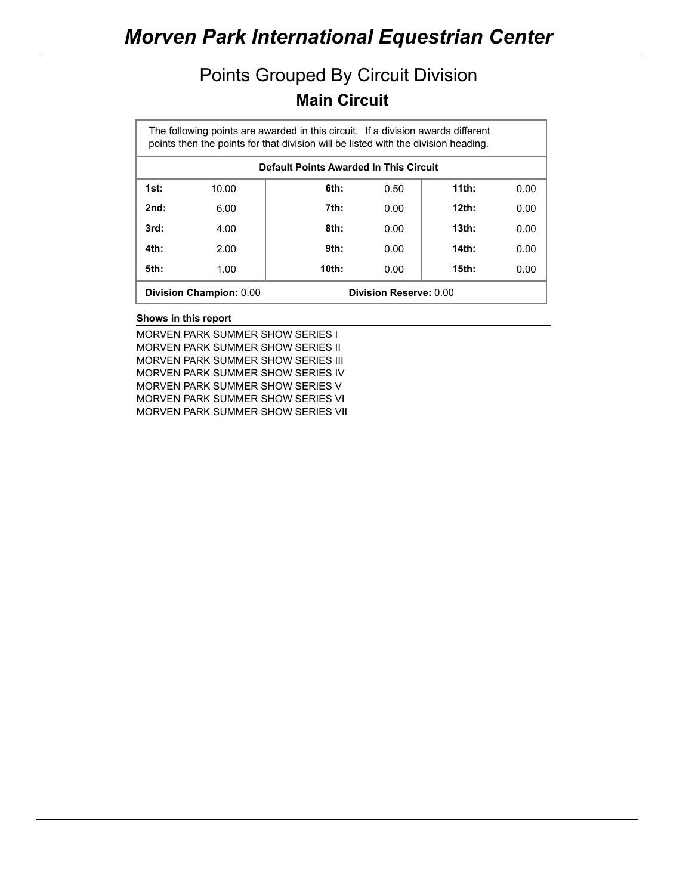### Points Grouped By Circuit Division **Main Circuit**

| The following points are awarded in this circuit. If a division awards different<br>points then the points for that division will be listed with the division heading. |                                |       |                               |          |      |  |  |  |  |
|------------------------------------------------------------------------------------------------------------------------------------------------------------------------|--------------------------------|-------|-------------------------------|----------|------|--|--|--|--|
| Default Points Awarded In This Circuit                                                                                                                                 |                                |       |                               |          |      |  |  |  |  |
| 1st:                                                                                                                                                                   | 10.00                          | 6th:  | 0.50                          | $11th$ : | 0.00 |  |  |  |  |
| 2nd:                                                                                                                                                                   | 6.00                           | 7th:  | 0.00                          | $12th$ : | 0.00 |  |  |  |  |
| 3rd:                                                                                                                                                                   | 4.00                           | 8th:  | 0.00                          | $13th$ : | 0.00 |  |  |  |  |
| 4th:                                                                                                                                                                   | 2.00                           | 9th:  | 0.00                          | 14th:    | 0.00 |  |  |  |  |
| 5th:                                                                                                                                                                   | 1.00                           | 10th: | 0.00                          | $15th$ : | 0.00 |  |  |  |  |
|                                                                                                                                                                        | <b>Division Champion: 0.00</b> |       | <b>Division Reserve: 0.00</b> |          |      |  |  |  |  |

#### **Shows in this report**

MORVEN PARK SUMMER SHOW SERIES I MORVEN PARK SUMMER SHOW SERIES II MORVEN PARK SUMMER SHOW SERIES III MORVEN PARK SUMMER SHOW SERIES IV MORVEN PARK SUMMER SHOW SERIES V MORVEN PARK SUMMER SHOW SERIES VI MORVEN PARK SUMMER SHOW SERIES VII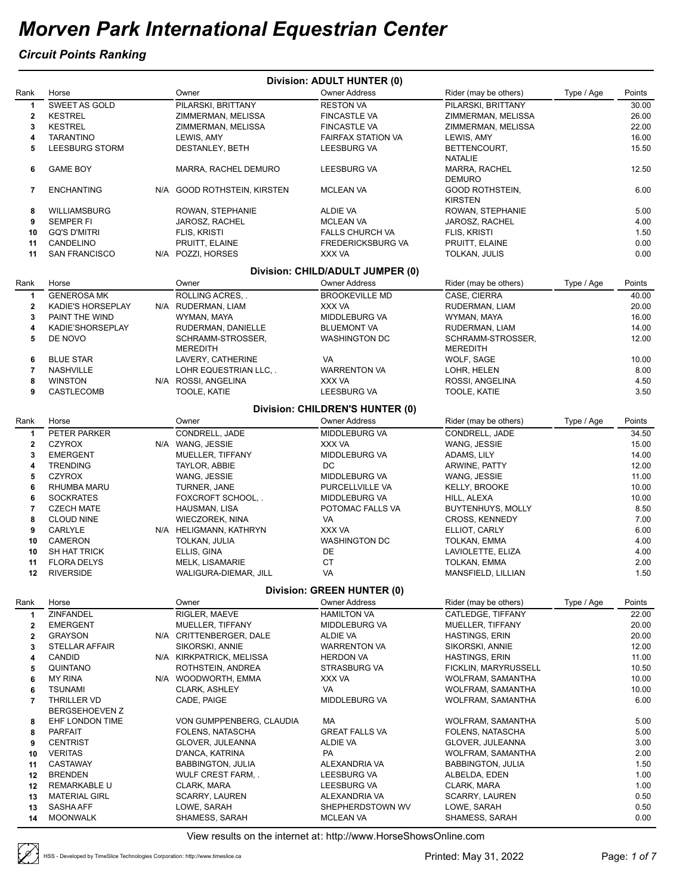#### *Circuit Points Ranking*

|                         |                                        |                                         | <b>Division: ADULT HUNTER (0)</b>                        |                                            |            |               |
|-------------------------|----------------------------------------|-----------------------------------------|----------------------------------------------------------|--------------------------------------------|------------|---------------|
| Rank                    | Horse                                  | Owner                                   | <b>Owner Address</b>                                     | Rider (may be others)                      | Type / Age | Points        |
| 1                       | SWEET AS GOLD                          | PILARSKI, BRITTANY                      | <b>RESTON VA</b>                                         | PILARSKI, BRITTANY                         |            | 30.00         |
| $\mathbf{2}$            | <b>KESTREL</b>                         | ZIMMERMAN, MELISSA                      | <b>FINCASTLE VA</b>                                      | ZIMMERMAN, MELISSA                         |            | 26.00         |
| 3                       | <b>KESTREL</b>                         | ZIMMERMAN, MELISSA                      | <b>FINCASTLE VA</b>                                      | ZIMMERMAN, MELISSA                         |            | 22.00         |
| 4                       | <b>TARANTINO</b>                       | LEWIS, AMY                              | <b>FAIRFAX STATION VA</b>                                | LEWIS, AMY                                 |            | 16.00         |
| 5                       | LEESBURG STORM                         | DESTANLEY, BETH                         | LEESBURG VA                                              | BETTENCOURT,<br><b>NATALIE</b>             |            | 15.50         |
| 6                       | <b>GAME BOY</b>                        | MARRA, RACHEL DEMURO                    | LEESBURG VA                                              | MARRA, RACHEL<br><b>DEMURO</b>             |            | 12.50         |
| 7                       | <b>ENCHANTING</b>                      | N/A GOOD ROTHSTEIN, KIRSTEN             | <b>MCLEAN VA</b>                                         | <b>GOOD ROTHSTEIN,</b><br><b>KIRSTEN</b>   |            | 6.00          |
| 8                       | WILLIAMSBURG                           | ROWAN, STEPHANIE                        | ALDIE VA                                                 | ROWAN, STEPHANIE                           |            | 5.00          |
| 9                       | <b>SEMPER FI</b>                       | JAROSZ, RACHEL                          | <b>MCLEAN VA</b>                                         | JAROSZ, RACHEL                             |            | 4.00          |
| 10                      | <b>GQ'S D'MITRI</b>                    | FLIS, KRISTI                            | <b>FALLS CHURCH VA</b>                                   | FLIS, KRISTI                               |            | 1.50          |
| 11                      | CANDELINO                              | PRUITT, ELAINE                          | <b>FREDERICKSBURG VA</b>                                 | PRUITT, ELAINE                             |            | 0.00          |
| 11                      | <b>SAN FRANCISCO</b>                   | N/A POZZI, HORSES                       | XXX VA                                                   | TOLKAN, JULIS                              |            | 0.00          |
| Rank                    | Horse                                  | Owner                                   | Division: CHILD/ADULT JUMPER (0)<br><b>Owner Address</b> | Rider (may be others)                      | Type / Age | Points        |
| 1                       | <b>GENEROSA MK</b>                     | ROLLING ACRES                           | <b>BROOKEVILLE MD</b>                                    | CASE, CIERRA                               |            | 40.00         |
| $\overline{\mathbf{2}}$ | KADIE'S HORSEPLAY                      | N/A RUDERMAN, LIAM                      | XXX VA                                                   | RUDERMAN, LIAM                             |            | 20.00         |
| 3                       | PAINT THE WIND                         | WYMAN, MAYA                             | MIDDLEBURG VA                                            | WYMAN, MAYA                                |            | 16.00         |
| 4                       | KADIE'SHORSEPLAY                       | RUDERMAN, DANIELLE                      | <b>BLUEMONT VA</b>                                       | RUDERMAN, LIAM                             |            | 14.00         |
| 5                       | DE NOVO                                | SCHRAMM-STROSSER,                       | <b>WASHINGTON DC</b>                                     | SCHRAMM-STROSSER,                          |            | 12.00         |
|                         |                                        | <b>MEREDITH</b>                         |                                                          | <b>MEREDITH</b>                            |            |               |
| 6                       | <b>BLUE STAR</b>                       | LAVERY, CATHERINE                       | VA                                                       | WOLF, SAGE                                 |            | 10.00         |
| 7                       | <b>NASHVILLE</b>                       | LOHR EQUESTRIAN LLC                     | <b>WARRENTON VA</b>                                      | LOHR, HELEN                                |            | 8.00          |
| 8                       | <b>WINSTON</b>                         | N/A ROSSI, ANGELINA                     | XXX VA                                                   | ROSSI, ANGELINA                            |            | 4.50          |
| 9                       | CASTLECOMB                             | TOOLE, KATIE                            | <b>LEESBURG VA</b>                                       | TOOLE, KATIE                               |            | 3.50          |
|                         |                                        |                                         | Division: CHILDREN'S HUNTER (0)                          |                                            |            |               |
| Rank                    | Horse                                  | Owner                                   | <b>Owner Address</b>                                     | Rider (may be others)                      | Type / Age | Points        |
| 1                       | PETER PARKER                           | CONDRELL, JADE                          | MIDDLEBURG VA                                            | CONDRELL, JADE                             |            | 34.50         |
| $\mathbf{2}$            | <b>CZYROX</b>                          | N/A WANG, JESSIE                        | XXX VA                                                   | WANG, JESSIE                               |            | 15.00         |
| 3                       | <b>EMERGENT</b>                        | MUELLER, TIFFANY                        | MIDDLEBURG VA                                            | ADAMS, LILY                                |            | 14.00         |
| 4                       | <b>TRENDING</b>                        | TAYLOR, ABBIE                           | DC                                                       | ARWINE, PATTY                              |            | 12.00         |
| 5                       | <b>CZYROX</b>                          | WANG, JESSIE                            | MIDDLEBURG VA                                            | WANG, JESSIE                               |            | 11.00         |
| 6                       | RHUMBA MARU                            | TURNER, JANE                            | PURCELLVILLE VA                                          | <b>KELLY, BROOKE</b>                       |            | 10.00         |
| 6<br>7                  | <b>SOCKRATES</b>                       | FOXCROFT SCHOOL,.                       | MIDDLEBURG VA                                            | HILL, ALEXA                                |            | 10.00<br>8.50 |
| 8                       | <b>CZECH MATE</b><br><b>CLOUD NINE</b> | HAUSMAN, LISA<br><b>WIECZOREK, NINA</b> | POTOMAC FALLS VA<br>VA                                   | <b>BUYTENHUYS, MOLLY</b><br>CROSS, KENNEDY |            | 7.00          |
| 9                       | CARLYLE                                | N/A HELIGMANN, KATHRYN                  | XXX VA                                                   | ELLIOT, CARLY                              |            | 6.00          |
| 10                      | CAMERON                                | TOLKAN, JULIA                           | <b>WASHINGTON DC</b>                                     | TOLKAN, EMMA                               |            | 4.00          |
| 10                      | <b>SH HAT TRICK</b>                    | ELLIS, GINA                             | DE                                                       | LAVIOLETTE, ELIZA                          |            | 4.00          |
| 11                      | <b>FLORA DELYS</b>                     | MELK, LISAMARIE                         | СT                                                       | TOLKAN, EMMA                               |            | 2.00          |
| 12                      | <b>RIVERSIDE</b>                       | WALIGURA-DIEMAR, JILL                   | VA                                                       | MANSFIELD, LILLIAN                         |            | 1.50          |
|                         |                                        |                                         | <b>Division: GREEN HUNTER (0)</b>                        |                                            |            |               |
| Rank                    | Horse                                  | Owner                                   | <b>Owner Address</b>                                     | Rider (may be others)                      | Type / Age | Points        |
| $\mathbf{1}$            | ZINFANDEL                              | RIGLER, MAEVE                           | <b>HAMILTON VA</b>                                       | CATLEDGE, TIFFANY                          |            | 22.00         |
| $\mathbf{2}$            | <b>EMERGENT</b>                        | MUELLER, TIFFANY                        | MIDDLEBURG VA                                            | MUELLER, TIFFANY                           |            | 20.00         |
| $\mathbf 2$             | <b>GRAYSON</b>                         | N/A CRITTENBERGER, DALE                 | ALDIE VA                                                 | <b>HASTINGS, ERIN</b>                      |            | 20.00         |
| 3                       | <b>STELLAR AFFAIR</b>                  | SIKORSKI, ANNIE                         | <b>WARRENTON VA</b>                                      | SIKORSKI, ANNIE                            |            | 12.00         |
| 4                       | CANDID                                 | N/A KIRKPATRICK, MELISSA                | <b>HERDON VA</b>                                         | <b>HASTINGS, ERIN</b>                      |            | 11.00         |
| 5                       | QUINTANO                               | ROTHSTEIN, ANDREA                       | <b>STRASBURG VA</b>                                      | FICKLIN, MARYRUSSELL                       |            | 10.50         |
| 6                       | MY RINA                                | N/A WOODWORTH, EMMA                     | XXX VA                                                   | WOLFRAM, SAMANTHA                          |            | 10.00         |
| 6                       | <b>TSUNAMI</b>                         | CLARK, ASHLEY                           | VA                                                       | WOLFRAM, SAMANTHA                          |            | 10.00         |
| 7                       | THRILLER VD<br><b>BERGSEHOEVEN Z</b>   | CADE, PAIGE                             | MIDDLEBURG VA                                            | WOLFRAM, SAMANTHA                          |            | 6.00          |
| 8                       | EHF LONDON TIME                        | VON GUMPPENBERG, CLAUDIA                | МA                                                       | WOLFRAM, SAMANTHA                          |            | 5.00          |
| 8                       | <b>PARFAIT</b>                         | FOLENS, NATASCHA                        | <b>GREAT FALLS VA</b>                                    | FOLENS, NATASCHA                           |            | 5.00          |
| 9                       | <b>CENTRIST</b>                        | GLOVER, JULEANNA                        | ALDIE VA                                                 | GLOVER, JULEANNA                           |            | 3.00          |
| 10                      | <b>VERITAS</b>                         | D'ANCA, KATRINA                         | PA                                                       | WOLFRAM, SAMANTHA                          |            | 2.00          |
| 11                      | CASTAWAY                               | <b>BABBINGTON, JULIA</b>                | ALEXANDRIA VA                                            | <b>BABBINGTON, JULIA</b>                   |            | 1.50          |
| 12                      | <b>BRENDEN</b>                         | WULF CREST FARM, .                      | LEESBURG VA                                              | ALBELDA, EDEN                              |            | 1.00          |
| 12                      | REMARKABLE U                           | CLARK, MARA                             | LEESBURG VA                                              | CLARK, MARA                                |            | 1.00          |
| 13                      | <b>MATERIAL GIRL</b>                   | SCARRY, LAUREN                          | ALEXANDRIA VA                                            | <b>SCARRY, LAUREN</b>                      |            | 0.50          |
| 13                      | SASHA AFF                              | LOWE, SARAH                             | SHEPHERDSTOWN WV                                         | LOWE, SARAH                                |            | 0.50          |
| 14                      | <b>MOONWALK</b>                        | SHAMESS, SARAH                          | MCLEAN VA                                                | SHAMESS, SARAH                             |            | 0.00          |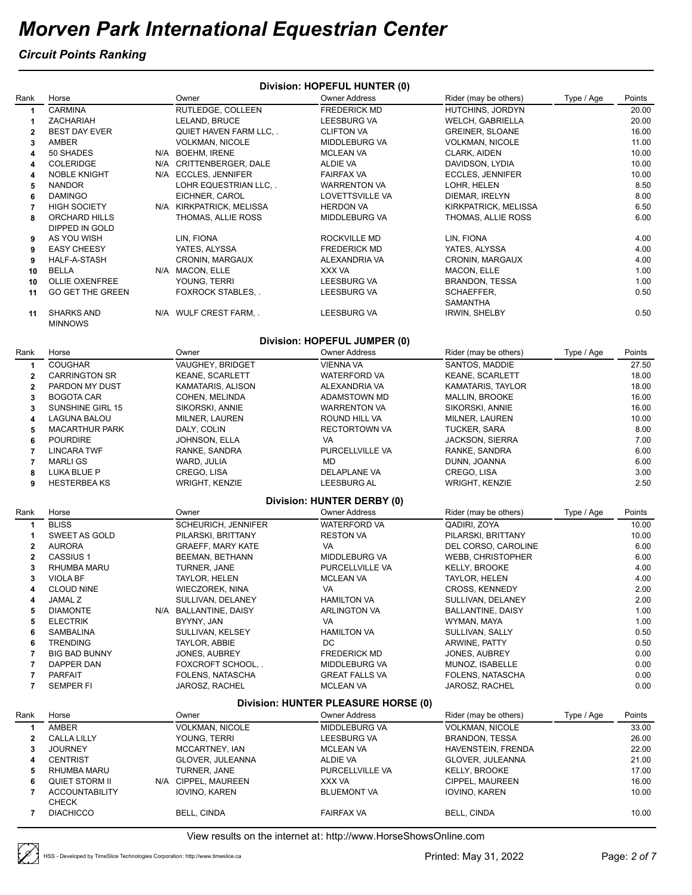#### *Circuit Points Ranking*

|                         |                                     |                          | Division: HOPEFUL HUNTER (0)                            |                          |            |        |
|-------------------------|-------------------------------------|--------------------------|---------------------------------------------------------|--------------------------|------------|--------|
| Rank                    | Horse                               | Owner                    | <b>Owner Address</b>                                    | Rider (may be others)    | Type / Age | Points |
| $\mathbf{1}$            | <b>CARMINA</b>                      | RUTLEDGE, COLLEEN        | <b>FREDERICK MD</b>                                     | HUTCHINS, JORDYN         |            | 20.00  |
| 1                       | ZACHARIAH                           | LELAND, BRUCE            | LEESBURG VA                                             | <b>WELCH, GABRIELLA</b>  |            | 20.00  |
| $\mathbf 2$             | <b>BEST DAY EVER</b>                | QUIET HAVEN FARM LLC, .  | <b>CLIFTON VA</b>                                       | <b>GREINER, SLOANE</b>   |            | 16.00  |
| 3                       | <b>AMBER</b>                        | <b>VOLKMAN, NICOLE</b>   | MIDDLEBURG VA                                           | <b>VOLKMAN, NICOLE</b>   |            | 11.00  |
| 4                       | 50 SHADES                           | N/A BOEHM, IRENE         | <b>MCLEAN VA</b>                                        | CLARK, AIDEN             |            | 10.00  |
| 4                       | <b>COLERIDGE</b>                    | N/A CRITTENBERGER, DALE  | ALDIE VA                                                | DAVIDSON, LYDIA          |            | 10.00  |
| 4                       | <b>NOBLE KNIGHT</b>                 | N/A ECCLES, JENNIFER     | <b>FAIRFAX VA</b>                                       | ECCLES, JENNIFER         |            | 10.00  |
| 5                       | <b>NANDOR</b>                       | LOHR EQUESTRIAN LLC, .   | <b>WARRENTON VA</b>                                     | LOHR, HELEN              |            | 8.50   |
| 6                       | <b>DAMINGO</b>                      | EICHNER, CAROL           | <b>LOVETTSVILLE VA</b>                                  | DIEMAR, IRELYN           |            | 8.00   |
| 7                       | <b>HIGH SOCIETY</b>                 | N/A KIRKPATRICK, MELISSA | <b>HERDON VA</b>                                        | KIRKPATRICK, MELISSA     |            | 6.50   |
| 8                       | ORCHARD HILLS<br>DIPPED IN GOLD     | THOMAS, ALLIE ROSS       | MIDDLEBURG VA                                           | THOMAS, ALLIE ROSS       |            | 6.00   |
| 9                       | AS YOU WISH                         | LIN, FIONA               | ROCKVILLE MD                                            | LIN, FIONA               |            | 4.00   |
| 9                       | <b>EASY CHEESY</b>                  | YATES, ALYSSA            | <b>FREDERICK MD</b>                                     | YATES, ALYSSA            |            | 4.00   |
| 9                       | HALF-A-STASH                        | CRONIN, MARGAUX          | ALEXANDRIA VA                                           | CRONIN, MARGAUX          |            | 4.00   |
| 10                      | <b>BELLA</b>                        | N/A MACON, ELLE          | XXX VA                                                  | MACON, ELLE              |            | 1.00   |
| 10                      | <b>OLLIE OXENFREE</b>               | YOUNG, TERRI             | <b>LEESBURG VA</b>                                      | BRANDON, TESSA           |            | 1.00   |
| 11                      | <b>GO GET THE GREEN</b>             | <b>FOXROCK STABLES,</b>  | <b>LEESBURG VA</b>                                      | SCHAEFFER,<br>SAMANTHA   |            | 0.50   |
| 11                      | <b>SHARKS AND</b><br><b>MINNOWS</b> | N/A WULF CREST FARM, .   | <b>LEESBURG VA</b>                                      | <b>IRWIN, SHELBY</b>     |            | 0.50   |
|                         |                                     |                          | Division: HOPEFUL JUMPER (0)                            |                          |            |        |
| Rank                    | Horse                               | Owner                    | <b>Owner Address</b>                                    | Rider (may be others)    | Type / Age | Points |
| $\mathbf{1}$            | <b>COUGHAR</b>                      | <b>VAUGHEY, BRIDGET</b>  | <b>VIENNA VA</b>                                        | SANTOS, MADDIE           |            | 27.50  |
| $\mathbf{2}$            | <b>CARRINGTON SR</b>                | <b>KEANE, SCARLETT</b>   | <b>WATERFORD VA</b>                                     | <b>KEANE, SCARLETT</b>   |            | 18.00  |
| $\mathbf 2$             | PARDON MY DUST                      | KAMATARIS, ALISON        | ALEXANDRIA VA                                           | KAMATARIS, TAYLOR        |            | 18.00  |
| 3                       | <b>BOGOTA CAR</b>                   | COHEN, MELINDA           | ADAMSTOWN MD                                            | <b>MALLIN, BROOKE</b>    |            | 16.00  |
| 3                       | <b>SUNSHINE GIRL 15</b>             | SIKORSKI, ANNIE          | <b>WARRENTON VA</b>                                     | SIKORSKI, ANNIE          |            | 16.00  |
| 4                       | LAGUNA BALOU                        | MILNER, LAUREN           | ROUND HILL VA                                           | MILNER, LAUREN           |            | 10.00  |
| 5                       | <b>MACARTHUR PARK</b>               | DALY, COLIN              | RECTORTOWN VA                                           | TUCKER, SARA             |            | 8.00   |
| 6                       | <b>POURDIRE</b>                     | JOHNSON, ELLA            | VA                                                      | <b>JACKSON, SIERRA</b>   |            | 7.00   |
| 7                       | <b>LINCARA TWF</b>                  | RANKE, SANDRA            | PURCELLVILLE VA                                         | RANKE, SANDRA            |            | 6.00   |
| $\overline{\mathbf{r}}$ | <b>MARLIGS</b>                      | WARD, JULIA              | MD                                                      | DUNN, JOANNA             |            | 6.00   |
| 8                       | LUKA BLUE P                         | CREGO, LISA              | DELAPLANE VA                                            | CREGO, LISA              |            | 3.00   |
| 9                       | <b>HESTERBEAKS</b>                  | <b>WRIGHT, KENZIE</b>    | <b>LEESBURG AL</b>                                      | <b>WRIGHT, KENZIE</b>    |            | 2.50   |
|                         |                                     |                          | Division: HUNTER DERBY (0)                              |                          |            |        |
| Rank                    | Horse                               | Owner                    | <b>Owner Address</b>                                    | Rider (may be others)    | Type / Age | Points |
| 1                       | <b>BLISS</b>                        | SCHEURICH, JENNIFER      | <b>WATERFORD VA</b>                                     | QADIRI, ZOYA             |            | 10.00  |
| 1                       | SWEET AS GOLD                       | PILARSKI, BRITTANY       | <b>RESTON VA</b>                                        | PILARSKI, BRITTANY       |            | 10.00  |
| $\mathbf{2}$            | <b>AURORA</b>                       | <b>GRAEFF, MARY KATE</b> | VA                                                      | DEL CORSO, CAROLINE      |            | 6.00   |
| $\mathbf 2$             | CASSIUS <sub>1</sub>                | BEEMAN, BETHANN          | MIDDLEBURG VA                                           | WEBB, CHRISTOPHER        |            | 6.00   |
| 3                       | <b>RHUMBA MARU</b>                  | TURNER, JANE             | PURCELLVILLE VA                                         | KELLY, BROOKE            |            | 4.00   |
| 3                       | <b>VIOLA BF</b>                     | TAYLOR, HELEN            | <b>MCLEAN VA</b>                                        | TAYLOR, HELEN            |            | 4.00   |
| 4                       | <b>CLOUD NINE</b>                   | WIECZOREK, NINA          | VA                                                      | CROSS, KENNEDY           |            | 2.00   |
| 4                       | <b>JAMAL Z</b>                      | SULLIVAN, DELANEY        | <b>HAMILTON VA</b>                                      | SULLIVAN, DELANEY        |            | 2.00   |
| 5                       | <b>DIAMONTE</b>                     | N/A BALLANTINE, DAISY    | <b>ARLINGTON VA</b>                                     | <b>BALLANTINE, DAISY</b> |            | 1.00   |
| 5                       | <b>ELECTRIK</b>                     | BYYNY, JAN               | VA                                                      | WYMAN, MAYA              |            | 1.00   |
| 6                       | <b>SAMBALINA</b>                    | SULLIVAN, KELSEY         | <b>HAMILTON VA</b>                                      | SULLIVAN, SALLY          |            | 0.50   |
| 6                       | <b>TRENDING</b>                     | TAYLOR, ABBIE            | DC                                                      | ARWINE, PATTY            |            | 0.50   |
| 7                       | <b>BIG BAD BUNNY</b>                | JONES, AUBREY            | <b>FREDERICK MD</b>                                     | JONES, AUBREY            |            | 0.00   |
| 7                       | <b>DAPPER DAN</b>                   | FOXCROFT SCHOOL,.        | MIDDLEBURG VA                                           | MUNOZ, ISABELLE          |            | 0.00   |
| 7                       | <b>PARFAIT</b>                      | FOLENS, NATASCHA         | <b>GREAT FALLS VA</b>                                   | FOLENS, NATASCHA         |            | 0.00   |
| $\overline{7}$          | <b>SEMPER FI</b>                    | JAROSZ, RACHEL           | <b>MCLEAN VA</b><br>Division: HUNTER PLEASURE HORSE (0) | JAROSZ, RACHEL           |            | 0.00   |
| Rank                    | Horse                               | Owner                    | <b>Owner Address</b>                                    | Rider (may be others)    | Type / Age | Points |
| 1                       | AMBER                               | <b>VOLKMAN, NICOLE</b>   | MIDDLEBURG VA                                           | <b>VOLKMAN, NICOLE</b>   |            | 33.00  |
| 2                       | <b>CALLA LILLY</b>                  | YOUNG, TERRI             | LEESBURG VA                                             | <b>BRANDON, TESSA</b>    |            | 26.00  |
| 3                       | <b>JOURNEY</b>                      | MCCARTNEY, IAN           | <b>MCLEAN VA</b>                                        | HAVENSTEIN, FRENDA       |            | 22.00  |
| 4                       | <b>CENTRIST</b>                     | GLOVER, JULEANNA         | ALDIE VA                                                | GLOVER, JULEANNA         |            | 21.00  |
| 5                       | RHUMBA MARU                         | TURNER, JANE             | PURCELLVILLE VA                                         | <b>KELLY, BROOKE</b>     |            | 17.00  |
| 6                       | <b>QUIET STORM II</b>               | N/A CIPPEL, MAUREEN      | XXX VA                                                  | CIPPEL, MAUREEN          |            | 16.00  |
| 7                       | <b>ACCOUNTABILITY</b>               | IOVINO, KAREN            | <b>BLUEMONT VA</b>                                      | IOVINO, KAREN            |            | 10.00  |
|                         | CHECK                               |                          |                                                         |                          |            |        |
| 7                       | <b>DIACHICCO</b>                    | <b>BELL, CINDA</b>       | <b>FAIRFAX VA</b>                                       | <b>BELL, CINDA</b>       |            | 10.00  |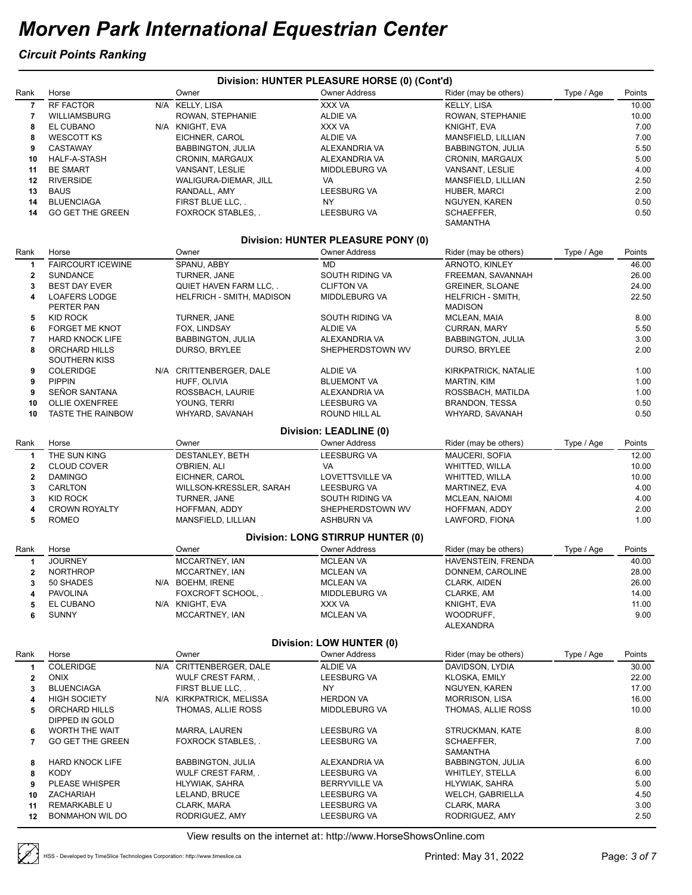#### *Circuit Points Ranking*

|                |                                       |                                  | Division: HUNTER PLEASURE HORSE (0) (Cont'd) |                               |            |        |
|----------------|---------------------------------------|----------------------------------|----------------------------------------------|-------------------------------|------------|--------|
| Rank           | Horse                                 | Owner                            | <b>Owner Address</b>                         | Rider (may be others)         | Type / Age | Points |
| $\overline{7}$ | RF FACTOR                             | N/A KELLY, LISA                  | XXX VA                                       | KELLY, LISA                   |            | 10.00  |
| 7              | <b>WILLIAMSBURG</b>                   | ROWAN, STEPHANIE                 | ALDIE VA                                     | ROWAN, STEPHANIE              |            | 10.00  |
| 8              | EL CUBANO                             | N/A KNIGHT, EVA                  | XXX VA                                       | KNIGHT, EVA                   |            | 7.00   |
| 8              | <b>WESCOTT KS</b>                     | EICHNER, CAROL                   | ALDIE VA                                     | MANSFIELD, LILLIAN            |            | 7.00   |
| 9              | <b>CASTAWAY</b>                       | <b>BABBINGTON, JULIA</b>         | ALEXANDRIA VA                                | <b>BABBINGTON, JULIA</b>      |            | 5.50   |
| 10             | HALF-A-STASH                          | CRONIN, MARGAUX                  | ALEXANDRIA VA                                | CRONIN, MARGAUX               |            | 5.00   |
| 11             | <b>BE SMART</b>                       | VANSANT, LESLIE                  | MIDDLEBURG VA                                | VANSANT, LESLIE               |            | 4.00   |
| 12             | <b>RIVERSIDE</b>                      | WALIGURA-DIEMAR, JILL            | VA                                           | MANSFIELD, LILLIAN            |            | 2.50   |
| 13             | <b>BAUS</b>                           | RANDALL, AMY                     | <b>LEESBURG VA</b>                           | HUBER, MARCI                  |            | 2.00   |
| 14             | <b>BLUENCIAGA</b>                     | FIRST BLUE LLC, .                | NY.                                          | NGUYEN, KAREN                 |            | 0.50   |
| 14             | <b>GO GET THE GREEN</b>               | <b>FOXROCK STABLES,</b>          | <b>LEESBURG VA</b>                           | SCHAEFFER,<br>SAMANTHA        |            | 0.50   |
|                |                                       |                                  | Division: HUNTER PLEASURE PONY (0)           |                               |            |        |
| Rank           | Horse                                 | Owner                            | <b>Owner Address</b>                         | Rider (may be others)         | Type / Age | Points |
| 1              | <b>FAIRCOURT ICEWINE</b>              | SPANU, ABBY                      | <b>MD</b>                                    | ARNOTO, KINLEY                |            | 46.00  |
| $\mathbf{2}$   | <b>SUNDANCE</b>                       | TURNER, JANE                     | SOUTH RIDING VA                              | FREEMAN, SAVANNAH             |            | 26.00  |
| 3              | <b>BEST DAY EVER</b>                  | QUIET HAVEN FARM LLC, .          | <b>CLIFTON VA</b>                            | <b>GREINER, SLOANE</b>        |            | 24.00  |
| 4              | <b>LOAFERS LODGE</b>                  | <b>HELFRICH - SMITH, MADISON</b> | MIDDLEBURG VA                                | HELFRICH - SMITH,             |            | 22.50  |
|                | PERTER PAN                            |                                  |                                              | <b>MADISON</b>                |            |        |
| 5              | KID ROCK                              | TURNER, JANE                     | SOUTH RIDING VA                              | MCLEAN, MAIA                  |            | 8.00   |
| 6              | <b>FORGET ME KNOT</b>                 | FOX, LINDSAY                     | <b>ALDIE VA</b>                              | CURRAN, MARY                  |            | 5.50   |
| 7              | <b>HARD KNOCK LIFE</b>                | <b>BABBINGTON, JULIA</b>         | ALEXANDRIA VA                                | <b>BABBINGTON, JULIA</b>      |            | 3.00   |
| 8              | ORCHARD HILLS<br><b>SOUTHERN KISS</b> | DURSO, BRYLEE                    | SHEPHERDSTOWN WV                             | DURSO, BRYLEE                 |            | 2.00   |
| 9              | <b>COLERIDGE</b>                      | N/A CRITTENBERGER, DALE          | ALDIE VA                                     | KIRKPATRICK, NATALIE          |            | 1.00   |
| 9              | <b>PIPPIN</b>                         | HUFF, OLIVIA                     | <b>BLUEMONT VA</b>                           | MARTIN, KIM                   |            | 1.00   |
| 9              | SEÑOR SANTANA                         | ROSSBACH, LAURIE                 | ALEXANDRIA VA                                | ROSSBACH, MATILDA             |            | 1.00   |
| 10             | <b>OLLIE OXENFREE</b>                 | YOUNG, TERRI                     | <b>LEESBURG VA</b>                           | BRANDON, TESSA                |            | 0.50   |
| 10             | <b>TASTE THE RAINBOW</b>              | WHYARD, SAVANAH                  | ROUND HILL AL                                | WHYARD, SAVANAH               |            | 0.50   |
|                |                                       |                                  | Division: LEADLINE (0)                       |                               |            |        |
| Rank           | Horse                                 | Owner                            | <b>Owner Address</b>                         | Rider (may be others)         | Type / Age | Points |
| 1              | THE SUN KING                          | DESTANLEY, BETH                  | <b>LEESBURG VA</b>                           | MAUCERI, SOFIA                |            | 12.00  |
| $\mathbf{2}$   | <b>CLOUD COVER</b>                    | O'BRIEN, ALI                     | VA                                           | <b>WHITTED, WILLA</b>         |            | 10.00  |
| $\mathbf 2$    | <b>DAMINGO</b>                        | EICHNER, CAROL                   | LOVETTSVILLE VA                              | <b>WHITTED, WILLA</b>         |            | 10.00  |
| 3              | CARLTON                               | WILLSON-KRESSLER, SARAH          | <b>LEESBURG VA</b>                           | MARTINEZ, EVA                 |            | 4.00   |
| 3              | <b>KID ROCK</b>                       | TURNER, JANE                     | SOUTH RIDING VA                              | <b>MCLEAN, NAIOMI</b>         |            | 4.00   |
| 4              | <b>CROWN ROYALTY</b>                  | HOFFMAN, ADDY                    | SHEPHERDSTOWN WV                             | HOFFMAN, ADDY                 |            | 2.00   |
| 5              | <b>ROMEO</b>                          | MANSFIELD, LILLIAN               | ASHBURN VA                                   | LAWFORD, FIONA                |            | 1.00   |
|                |                                       |                                  | Division: LONG STIRRUP HUNTER (0)            |                               |            |        |
| Rank           | Horse                                 | Owner                            | <b>Owner Address</b>                         | Rider (may be others)         | Type / Age | Points |
| 1              | <b>JOURNEY</b>                        | MCCARTNEY, IAN                   | <b>MCLEAN VA</b>                             | HAVENSTEIN, FRENDA            |            | 40.00  |
| $\mathbf{2}$   | <b>NORTHROP</b>                       | MCCARTNEY, IAN                   | <b>MCLEAN VA</b>                             | DONNEM, CAROLINE              |            | 28.00  |
| 3              | 50 SHADES                             | N/A BOEHM, IRENE                 | <b>MCLEAN VA</b>                             | CLARK, AIDEN                  |            | 26.00  |
| 4              | <b>PAVOLINA</b>                       | FOXCROFT SCHOOL,.                | MIDDLEBURG VA                                | CLARKE, AM                    |            | 14.00  |
| 5              | EL CUBANO                             | N/A KNIGHT, EVA                  | XXX VA                                       | KNIGHT, EVA                   |            | 11.00  |
| 6              | <b>SUNNY</b>                          | MCCARTNEY, IAN                   | <b>MCLEAN VA</b>                             | WOODRUFF,<br><b>ALEXANDRA</b> |            | 9.00   |
|                |                                       |                                  | Division: LOW HUNTER (0)                     |                               |            |        |
| Rank           | Horse                                 | Owner                            | <b>Owner Address</b>                         | Rider (may be others)         | Type / Age | Points |
| 1              | COLERIDGE                             | N/A CRITTENBERGER, DALE          | <b>ALDIE VA</b>                              | DAVIDSON, LYDIA               |            | 30.00  |
| $\mathbf{2}$   | <b>ONIX</b>                           | WULF CREST FARM, .               | <b>LEESBURG VA</b>                           | KLOSKA, EMILY                 |            | 22.00  |
| 3              | <b>BLUENCIAGA</b>                     | FIRST BLUE LLC                   | NY.                                          | NGUYEN, KAREN                 |            | 17.00  |
| 4              | <b>HIGH SOCIETY</b>                   | N/A KIRKPATRICK, MELISSA         | <b>HERDON VA</b>                             | <b>MORRISON, LISA</b>         |            | 16.00  |
| 5              | ORCHARD HILLS                         | THOMAS, ALLIE ROSS               | MIDDLEBURG VA                                | THOMAS, ALLIE ROSS            |            | 10.00  |
|                | DIPPED IN GOLD                        |                                  |                                              |                               |            |        |
| 6              | WORTH THE WAIT                        | MARRA, LAUREN                    | LEESBURG VA                                  | STRUCKMAN, KATE               |            | 8.00   |
| 7              | <b>GO GET THE GREEN</b>               | <b>FOXROCK STABLES,</b>          | LEESBURG VA                                  | SCHAEFFER,                    |            | 7.00   |
|                |                                       |                                  |                                              | SAMANTHA                      |            |        |
| 8              | <b>HARD KNOCK LIFE</b>                | <b>BABBINGTON, JULIA</b>         | ALEXANDRIA VA                                | <b>BABBINGTON, JULIA</b>      |            | 6.00   |
| 8              | <b>KODY</b>                           | WULF CREST FARM, .               | LEESBURG VA                                  | WHITLEY, STELLA               |            | 6.00   |
| 9              | PLEASE WHISPER                        | HLYWIAK, SAHRA                   | BERRYVILLE VA                                | HLYWIAK, SAHRA                |            | 5.00   |
| 10             | <b>ZACHARIAH</b>                      | LELAND, BRUCE                    | LEESBURG VA                                  | <b>WELCH, GABRIELLA</b>       |            | 4.50   |
| 11             | REMARKABLE U                          | CLARK, MARA                      | LEESBURG VA                                  | CLARK, MARA                   |            | 3.00   |
| 12             | <b>BONMAHON WIL DO</b>                | RODRIGUEZ, AMY                   | LEESBURG VA                                  | RODRIGUEZ, AMY                |            | 2.50   |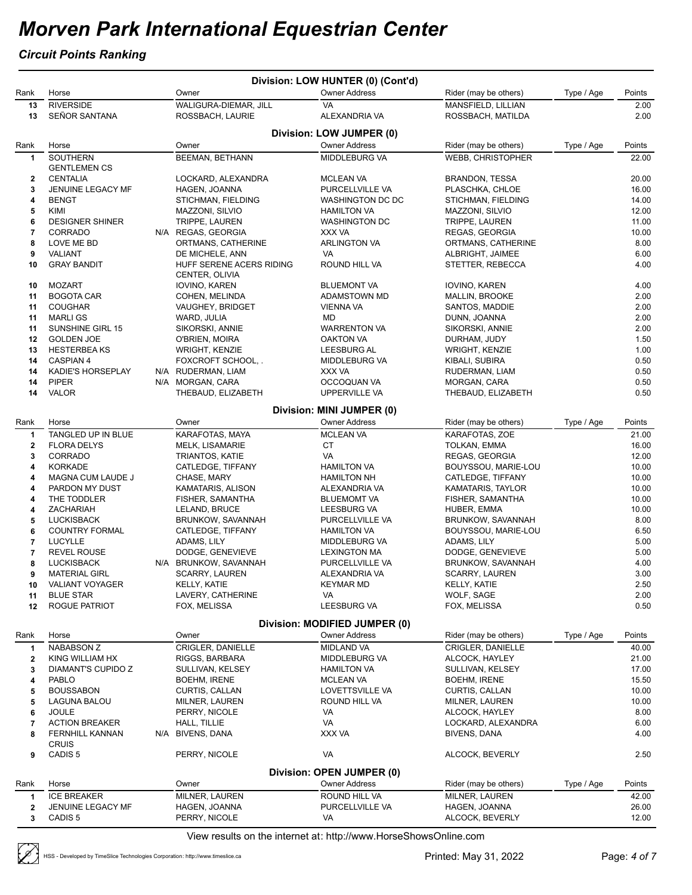#### *Circuit Points Ranking*

|             |                          |                                            | Division: LOW HUNTER (0) (Cont'd) |                       |            |        |
|-------------|--------------------------|--------------------------------------------|-----------------------------------|-----------------------|------------|--------|
| Rank        | Horse                    | Owner                                      | <b>Owner Address</b>              | Rider (may be others) | Type / Age | Points |
| 13          | <b>RIVERSIDE</b>         | WALIGURA-DIEMAR, JILL                      | VA                                | MANSFIELD, LILLIAN    |            | 2.00   |
| 13          | SEÑOR SANTANA            | ROSSBACH, LAURIE                           | ALEXANDRIA VA                     | ROSSBACH, MATILDA     |            | 2.00   |
|             |                          |                                            | Division: LOW JUMPER (0)          |                       |            |        |
| Rank        | Horse                    | Owner                                      | <b>Owner Address</b>              | Rider (may be others) | Type / Age | Points |
| 1           | <b>SOUTHERN</b>          | <b>BEEMAN, BETHANN</b>                     | <b>MIDDLEBURG VA</b>              | WEBB, CHRISTOPHER     |            | 22.00  |
|             | <b>GENTLEMEN CS</b>      |                                            |                                   |                       |            |        |
| 2           | <b>CENTALIA</b>          | LOCKARD, ALEXANDRA                         | <b>MCLEAN VA</b>                  | BRANDON, TESSA        |            | 20.00  |
| 3           | JENUINE LEGACY MF        | HAGEN, JOANNA                              | PURCELLVILLE VA                   | PLASCHKA, CHLOE       |            | 16.00  |
| 4           | <b>BENGT</b>             | STICHMAN, FIELDING                         | <b>WASHINGTON DC DC</b>           | STICHMAN, FIELDING    |            | 14.00  |
| 5           | KIMI                     | MAZZONI, SILVIO                            | <b>HAMILTON VA</b>                | MAZZONI, SILVIO       |            | 12.00  |
| 6           | <b>DESIGNER SHINER</b>   | TRIPPE, LAUREN                             | <b>WASHINGTON DC</b>              | TRIPPE, LAUREN        |            | 11.00  |
| 7           | <b>CORRADO</b>           | N/A REGAS, GEORGIA                         | XXX VA                            | REGAS, GEORGIA        |            | 10.00  |
| 8           | LOVE ME BD               | ORTMANS, CATHERINE                         | <b>ARLINGTON VA</b>               | ORTMANS, CATHERINE    |            | 8.00   |
| 9           | VALIANT                  | DE MICHELE, ANN                            | VA                                | ALBRIGHT, JAIMEE      |            | 6.00   |
| 10          | <b>GRAY BANDIT</b>       | HUFF SERENE ACERS RIDING<br>CENTER, OLIVIA | ROUND HILL VA                     | STETTER, REBECCA      |            | 4.00   |
| 10          | <b>MOZART</b>            | IOVINO, KAREN                              | <b>BLUEMONT VA</b>                | IOVINO, KAREN         |            | 4.00   |
| 11          | <b>BOGOTA CAR</b>        | COHEN, MELINDA                             | ADAMSTOWN MD                      | <b>MALLIN, BROOKE</b> |            | 2.00   |
| 11          | <b>COUGHAR</b>           | VAUGHEY, BRIDGET                           | <b>VIENNA VA</b>                  | SANTOS, MADDIE        |            | 2.00   |
| 11          | <b>MARLIGS</b>           | WARD, JULIA                                | MD                                | DUNN, JOANNA          |            | 2.00   |
| 11          | SUNSHINE GIRL 15         | SIKORSKI, ANNIE                            | <b>WARRENTON VA</b>               | SIKORSKI, ANNIE       |            | 2.00   |
| 12          | <b>GOLDEN JOE</b>        | O'BRIEN, MOIRA                             | <b>OAKTON VA</b>                  | DURHAM, JUDY          |            | 1.50   |
| 13          | <b>HESTERBEAKS</b>       | <b>WRIGHT, KENZIE</b>                      | <b>LEESBURG AL</b>                | <b>WRIGHT, KENZIE</b> |            | 1.00   |
| 14          | CASPIAN 4                | FOXCROFT SCHOOL,.                          | <b>MIDDLEBURG VA</b>              | KIBALI, SUBIRA        |            | 0.50   |
| 14          | <b>KADIE'S HORSEPLAY</b> | N/A RUDERMAN, LIAM                         | XXX VA                            | RUDERMAN, LIAM        |            | 0.50   |
| 14          | <b>PIPER</b>             | N/A MORGAN, CARA                           | OCCOQUAN VA                       | MORGAN, CARA          |            | 0.50   |
| 14          | <b>VALOR</b>             | THEBAUD, ELIZABETH                         | UPPERVILLE VA                     | THEBAUD, ELIZABETH    |            | 0.50   |
|             |                          |                                            | Division: MINI JUMPER (0)         |                       |            |        |
| Rank        | Horse                    | Owner                                      | <b>Owner Address</b>              | Rider (may be others) | Type / Age | Points |
| 1           | TANGLED UP IN BLUE       | KARAFOTAS, MAYA                            | <b>MCLEAN VA</b>                  | KARAFOTAS, ZOE        |            | 21.00  |
| $\mathbf 2$ | <b>FLORA DELYS</b>       | <b>MELK, LISAMARIE</b>                     | <b>CT</b>                         | TOLKAN, EMMA          |            | 16.00  |
| 3           | CORRADO                  | <b>TRIANTOS, KATIE</b>                     | VA                                | REGAS, GEORGIA        |            | 12.00  |
| 4           | <b>KORKADE</b>           | CATLEDGE, TIFFANY                          | <b>HAMILTON VA</b>                | BOUYSSOU, MARIE-LOU   |            | 10.00  |
| 4           | MAGNA CUM LAUDE J        | CHASE, MARY                                | <b>HAMILTON NH</b>                | CATLEDGE, TIFFANY     |            | 10.00  |
| 4           | PARDON MY DUST           | KAMATARIS, ALISON                          | ALEXANDRIA VA                     | KAMATARIS, TAYLOR     |            | 10.00  |
| 4           | THE TODDLER              | FISHER, SAMANTHA                           | <b>BLUEMOMT VA</b>                | FISHER, SAMANTHA      |            | 10.00  |
| 4           | ZACHARIAH                | LELAND, BRUCE                              | LEESBURG VA                       | HUBER, EMMA           |            | 10.00  |
| 5           | <b>LUCKISBACK</b>        | BRUNKOW, SAVANNAH                          | PURCELLVILLE VA                   | BRUNKOW, SAVANNAH     |            | 8.00   |
| 6           | <b>COUNTRY FORMAL</b>    | CATLEDGE, TIFFANY                          | <b>HAMILTON VA</b>                | BOUYSSOU, MARIE-LOU   |            | 6.50   |
| 7           | <b>LUCYLLE</b>           | ADAMS, LILY                                | MIDDLEBURG VA                     | ADAMS, LILY           |            | 5.00   |
| 7           | <b>REVEL ROUSE</b>       | DODGE, GENEVIEVE                           | <b>LEXINGTON MA</b>               | DODGE, GENEVIEVE      |            | 5.00   |
| 8           | <b>LUCKISBACK</b>        | N/A BRUNKOW, SAVANNAH                      | PURCELLVILLE VA                   | BRUNKOW, SAVANNAH     |            | 4.00   |
| 9           | <b>MATERIAL GIRL</b>     | SCARRY, LAUREN                             | ALEXANDRIA VA                     | SCARRY, LAUREN        |            | 3.00   |
| 10          | <b>VALIANT VOYAGER</b>   | KELLY, KATIE                               | <b>KEYMAR MD</b>                  | KELLY, KATIE          |            | 2.50   |
| 11          | <b>BLUE STAR</b>         | LAVERY, CATHERINE                          | VA                                | WOLF, SAGE            |            | 2.00   |
| 12          | <b>ROGUE PATRIOT</b>     | FOX, MELISSA                               | <b>LEESBURG VA</b>                | FOX, MELISSA          |            | 0.50   |
|             |                          |                                            | Division: MODIFIED JUMPER (0)     |                       |            |        |
| Rank        | Horse                    | Owner                                      | <b>Owner Address</b>              | Rider (may be others) | Type / Age | Points |
| 1           | <b>NABABSON Z</b>        | CRIGLER, DANIELLE                          | <b>MIDLAND VA</b>                 | CRIGLER, DANIELLE     |            | 40.00  |
| 2           | KING WILLIAM HX          | RIGGS, BARBARA                             | MIDDLEBURG VA                     | ALCOCK, HAYLEY        |            | 21.00  |
| 3           | DIAMANT'S CUPIDO Z       | SULLIVAN, KELSEY                           | <b>HAMILTON VA</b>                | SULLIVAN, KELSEY      |            | 17.00  |
| 4           | <b>PABLO</b>             | <b>BOEHM, IRENE</b>                        | <b>MCLEAN VA</b>                  | <b>BOEHM, IRENE</b>   |            | 15.50  |
| 5           | <b>BOUSSABON</b>         | CURTIS, CALLAN                             | LOVETTSVILLE VA                   | CURTIS, CALLAN        |            | 10.00  |
| 5           | LAGUNA BALOU             | MILNER, LAUREN                             | ROUND HILL VA                     | MILNER, LAUREN        |            | 10.00  |
| 6           | <b>JOULE</b>             | PERRY, NICOLE                              | VA                                | ALCOCK, HAYLEY        |            | 8.00   |
| 7           | <b>ACTION BREAKER</b>    | HALL, TILLIE                               | VA                                | LOCKARD, ALEXANDRA    |            | 6.00   |
| 8           | <b>FERNHILL KANNAN</b>   | N/A BIVENS, DANA                           | XXX VA                            | <b>BIVENS, DANA</b>   |            | 4.00   |
|             | <b>CRUIS</b>             |                                            |                                   |                       |            |        |
| 9           | CADIS <sub>5</sub>       | PERRY, NICOLE                              | VA                                | ALCOCK, BEVERLY       |            | 2.50   |
|             |                          |                                            | Division: OPEN JUMPER (0)         |                       |            |        |
| Rank        | Horse                    | Owner                                      | <b>Owner Address</b>              | Rider (may be others) | Type / Age | Points |
| 1           | <b>ICE BREAKER</b>       | MILNER, LAUREN                             | ROUND HILL VA                     | MILNER, LAUREN        |            | 42.00  |
| 2           | JENUINE LEGACY MF        | HAGEN, JOANNA                              | PURCELLVILLE VA                   | HAGEN, JOANNA         |            | 26.00  |
| 3           | CADIS <sub>5</sub>       | PERRY, NICOLE                              | VA                                | ALCOCK, BEVERLY       |            | 12.00  |
|             |                          |                                            |                                   |                       |            |        |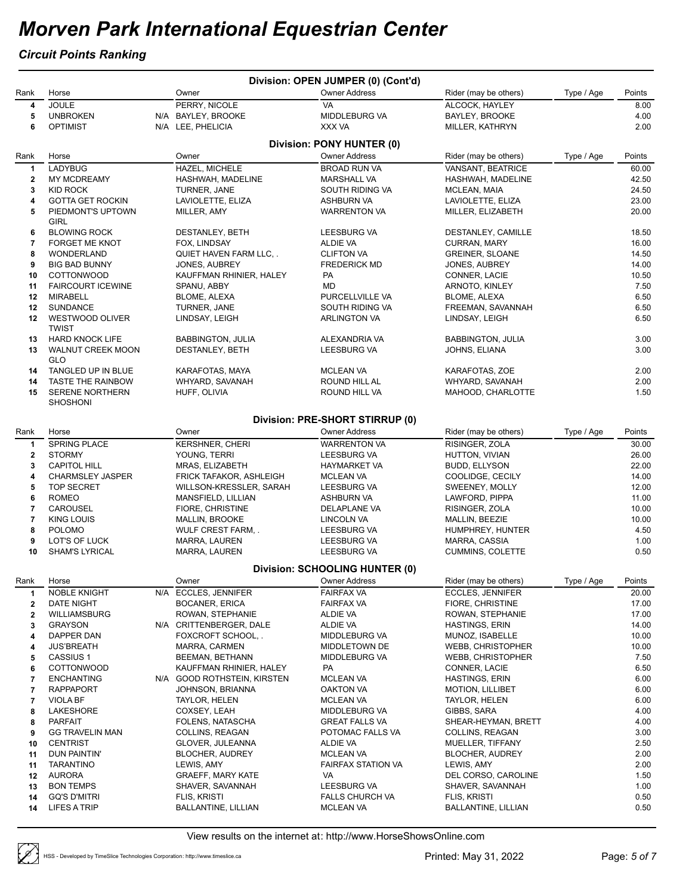#### *Circuit Points Ranking*

|              |                           |                             | Division: OPEN JUMPER (0) (Cont'd)    |                          |            |        |
|--------------|---------------------------|-----------------------------|---------------------------------------|--------------------------|------------|--------|
| Rank         | Horse                     | Owner                       | <b>Owner Address</b>                  | Rider (may be others)    | Type / Age | Points |
| 4            | <b>JOULE</b>              | PERRY, NICOLE               | <b>VA</b>                             | ALCOCK, HAYLEY           |            | 8.00   |
| 5            | <b>UNBROKEN</b>           | N/A BAYLEY, BROOKE          | MIDDLEBURG VA                         | BAYLEY, BROOKE           |            | 4.00   |
| 6            | <b>OPTIMIST</b>           | N/A LEE, PHELICIA           | XXX VA                                | MILLER, KATHRYN          |            | 2.00   |
|              |                           |                             |                                       |                          |            |        |
|              |                           |                             | Division: PONY HUNTER (0)             |                          |            |        |
| Rank         | Horse                     | Owner                       | <b>Owner Address</b>                  | Rider (may be others)    | Type / Age | Points |
| 1            | LADYBUG                   | HAZEL, MICHELE              | <b>BROAD RUN VA</b>                   | VANSANT, BEATRICE        |            | 60.00  |
| $\mathbf{2}$ | <b>MY MCDREAMY</b>        | HASHWAH, MADELINE           | <b>MARSHALL VA</b>                    | HASHWAH, MADELINE        |            | 42.50  |
| 3            | <b>KID ROCK</b>           | TURNER, JANE                | SOUTH RIDING VA                       | MCLEAN, MAIA             |            | 24.50  |
| 4            | <b>GOTTA GET ROCKIN</b>   | LAVIOLETTE, ELIZA           | ASHBURN VA                            | LAVIOLETTE, ELIZA        |            | 23.00  |
|              |                           |                             |                                       |                          |            | 20.00  |
| 5            | PIEDMONT'S UPTOWN<br>GIRL | MILLER, AMY                 | <b>WARRENTON VA</b>                   | MILLER, ELIZABETH        |            |        |
|              |                           |                             |                                       |                          |            |        |
| 6            | <b>BLOWING ROCK</b>       | DESTANLEY, BETH             | <b>LEESBURG VA</b>                    | DESTANLEY, CAMILLE       |            | 18.50  |
| 7            | <b>FORGET ME KNOT</b>     | FOX, LINDSAY                | ALDIE VA                              | <b>CURRAN, MARY</b>      |            | 16.00  |
| 8            | WONDERLAND                | QUIET HAVEN FARM LLC, .     | <b>CLIFTON VA</b>                     | <b>GREINER, SLOANE</b>   |            | 14.50  |
| 9            | <b>BIG BAD BUNNY</b>      | <b>JONES, AUBREY</b>        | <b>FREDERICK MD</b>                   | <b>JONES, AUBREY</b>     |            | 14.00  |
| 10           | <b>COTTONWOOD</b>         | KAUFFMAN RHINIER, HALEY     | PA                                    | CONNER, LACIE            |            | 10.50  |
| 11           | <b>FAIRCOURT ICEWINE</b>  | SPANU, ABBY                 | MD                                    | ARNOTO, KINLEY           |            | 7.50   |
| 12           | MIRABELL                  | <b>BLOME, ALEXA</b>         | PURCELLVILLE VA                       | BLOME, ALEXA             |            | 6.50   |
| 12           | <b>SUNDANCE</b>           | TURNER, JANE                | SOUTH RIDING VA                       | FREEMAN, SAVANNAH        |            | 6.50   |
| 12           | WESTWOOD OLIVER           | LINDSAY, LEIGH              | <b>ARLINGTON VA</b>                   | LINDSAY, LEIGH           |            | 6.50   |
|              | <b>TWIST</b>              |                             |                                       |                          |            |        |
| 13           | <b>HARD KNOCK LIFE</b>    | <b>BABBINGTON, JULIA</b>    | ALEXANDRIA VA                         | <b>BABBINGTON, JULIA</b> |            | 3.00   |
| 13           | WALNUT CREEK MOON         | DESTANLEY, BETH             | <b>LEESBURG VA</b>                    | JOHNS, ELIANA            |            | 3.00   |
|              | GLO                       |                             |                                       |                          |            |        |
|              | TANGLED UP IN BLUE        |                             | <b>MCLEAN VA</b>                      |                          |            | 2.00   |
| 14           |                           | KARAFOTAS, MAYA             |                                       | KARAFOTAS, ZOE           |            |        |
| 14           | <b>TASTE THE RAINBOW</b>  | WHYARD, SAVANAH             | ROUND HILL AL                         | WHYARD, SAVANAH          |            | 2.00   |
| 15           | SERENE NORTHERN           | HUFF, OLIVIA                | ROUND HILL VA                         | MAHOOD, CHARLOTTE        |            | 1.50   |
|              | <b>SHOSHONI</b>           |                             |                                       |                          |            |        |
|              |                           |                             | Division: PRE-SHORT STIRRUP (0)       |                          |            |        |
| Rank         | Horse                     | Owner                       | <b>Owner Address</b>                  | Rider (may be others)    | Type / Age | Points |
|              | <b>SPRING PLACE</b>       | <b>KERSHNER, CHERI</b>      | <b>WARRENTON VA</b>                   | RISINGER, ZOLA           |            | 30.00  |
| 1            |                           |                             |                                       |                          |            |        |
| $\mathbf{2}$ | <b>STORMY</b>             | YOUNG, TERRI                | LEESBURG VA                           | HUTTON, VIVIAN           |            | 26.00  |
| 3            | <b>CAPITOL HILL</b>       | MRAS, ELIZABETH             | <b>HAYMARKET VA</b>                   | <b>BUDD, ELLYSON</b>     |            | 22.00  |
| 4            | <b>CHARMSLEY JASPER</b>   | FRICK TAFAKOR, ASHLEIGH     | <b>MCLEAN VA</b>                      | COOLIDGE, CECILY         |            | 14.00  |
| 5            | <b>TOP SECRET</b>         | WILLSON-KRESSLER, SARAH     | LEESBURG VA                           | SWEENEY, MOLLY           |            | 12.00  |
| 6            | <b>ROMEO</b>              | MANSFIELD, LILLIAN          | ASHBURN VA                            | LAWFORD, PIPPA           |            | 11.00  |
| 7            | CAROUSEL                  | FIORE, CHRISTINE            | DELAPLANE VA                          | RISINGER, ZOLA           |            | 10.00  |
| 7            | <b>KING LOUIS</b>         | MALLIN, BROOKE              | LINCOLN VA                            | MALLIN, BEEZIE           |            | 10.00  |
| 8            | <b>POLOMO</b>             | WULF CREST FARM, .          | LEESBURG VA                           | HUMPHREY, HUNTER         |            | 4.50   |
| 9            | LOT'S OF LUCK             | <b>MARRA, LAUREN</b>        | LEESBURG VA                           | MARRA, CASSIA            |            | 1.00   |
| 10           | <b>SHAM'S LYRICAL</b>     | <b>MARRA, LAUREN</b>        | LEESBURG VA                           | CUMMINS, COLETTE         |            | 0.50   |
|              |                           |                             |                                       |                          |            |        |
|              |                           |                             | <b>Division: SCHOOLING HUNTER (0)</b> |                          |            |        |
| Rank         | Horse                     | Owner                       | <b>Owner Address</b>                  | Rider (may be others)    | Type / Age | Points |
| 1            | NOBLE KNIGHT              | N/A ECCLES, JENNIFER        | <b>FAIRFAX VA</b>                     | <b>ECCLES, JENNIFER</b>  |            | 20.00  |
| 2            | DATE NIGHT                | <b>BOCANER, ERICA</b>       | <b>FAIRFAX VA</b>                     | FIORE, CHRISTINE         |            | 17.00  |
| 2            | WILLIAMSBURG              | ROWAN, STEPHANIE            | ALDIE VA                              | ROWAN, STEPHANIE         |            | 17.00  |
| 3            | <b>GRAYSON</b>            | N/A CRITTENBERGER, DALE     | ALDIE VA                              | <b>HASTINGS, ERIN</b>    |            | 14.00  |
| 4            | DAPPER DAN                | FOXCROFT SCHOOL,.           | MIDDLEBURG VA                         | MUNOZ, ISABELLE          |            | 10.00  |
|              | <b>JUS'BREATH</b>         | MARRA, CARMEN               | MIDDLETOWN DE                         | WEBB, CHRISTOPHER        |            | 10.00  |
| 4            |                           |                             |                                       |                          |            |        |
| 5            | CASSIUS <sub>1</sub>      | <b>BEEMAN, BETHANN</b>      | MIDDLEBURG VA                         | WEBB, CHRISTOPHER        |            | 7.50   |
| 6            | <b>COTTONWOOD</b>         | KAUFFMAN RHINIER, HALEY     | PA                                    | CONNER, LACIE            |            | 6.50   |
| 7            | <b>ENCHANTING</b>         | N/A GOOD ROTHSTEIN, KIRSTEN | <b>MCLEAN VA</b>                      | HASTINGS, ERIN           |            | 6.00   |
| 7            | <b>RAPPAPORT</b>          | JOHNSON, BRIANNA            | OAKTON VA                             | <b>MOTION, LILLIBET</b>  |            | 6.00   |
| 7            | VIOLA BF                  | TAYLOR, HELEN               | <b>MCLEAN VA</b>                      | <b>TAYLOR, HELEN</b>     |            | 6.00   |
| 8            | <b>LAKESHORE</b>          | COXSEY, LEAH                | MIDDLEBURG VA                         | GIBBS, SARA              |            | 4.00   |
| 8            | <b>PARFAIT</b>            | FOLENS, NATASCHA            | <b>GREAT FALLS VA</b>                 | SHEAR-HEYMAN, BRETT      |            | 4.00   |
| 9            | <b>GG TRAVELIN MAN</b>    | COLLINS, REAGAN             | POTOMAC FALLS VA                      | COLLINS, REAGAN          |            | 3.00   |
| 10           | <b>CENTRIST</b>           | GLOVER, JULEANNA            | ALDIE VA                              | MUELLER, TIFFANY         |            | 2.50   |
| 11           | DUN PAINTIN'              | <b>BLOCHER, AUDREY</b>      | <b>MCLEAN VA</b>                      | <b>BLOCHER, AUDREY</b>   |            | 2.00   |
| 11           | <b>TARANTINO</b>          | LEWIS, AMY                  | <b>FAIRFAX STATION VA</b>             | LEWIS, AMY               |            | 2.00   |
| 12           | <b>AURORA</b>             | <b>GRAEFF, MARY KATE</b>    | VA                                    | DEL CORSO, CAROLINE      |            | 1.50   |
| 13           | <b>BON TEMPS</b>          | SHAVER, SAVANNAH            | LEESBURG VA                           | SHAVER, SAVANNAH         |            | 1.00   |
| 14           | <b>GQ'S D'MITRI</b>       | FLIS, KRISTI                |                                       | FLIS, KRISTI             |            | 0.50   |
|              |                           |                             | <b>FALLS CHURCH VA</b>                |                          |            |        |
| 14           | LIFES A TRIP              | BALLANTINE, LILLIAN         | <b>MCLEAN VA</b>                      | BALLANTINE, LILLIAN      |            | 0.50   |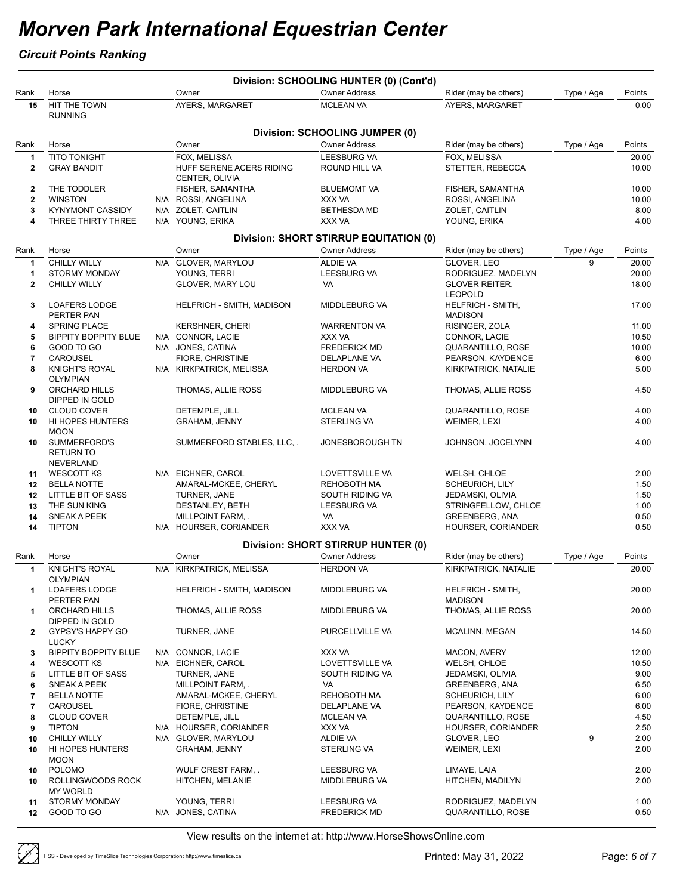### *Circuit Points Ranking*

|              |                                               |     |                                        | Division: SCHOOLING HUNTER (0) (Cont'd)       |                                     |            |              |
|--------------|-----------------------------------------------|-----|----------------------------------------|-----------------------------------------------|-------------------------------------|------------|--------------|
| Rank         | Horse                                         |     | Owner                                  | <b>Owner Address</b>                          | Rider (may be others)               | Type / Age | Points       |
| 15           | HIT THE TOWN<br><b>RUNNING</b>                |     | AYERS, MARGARET                        | <b>MCLEAN VA</b>                              | AYERS, MARGARET                     |            | 0.00         |
|              |                                               |     |                                        |                                               |                                     |            |              |
|              |                                               |     |                                        | Division: SCHOOLING JUMPER (0)                |                                     |            |              |
| Rank         | Horse                                         |     | Owner                                  | <b>Owner Address</b>                          | Rider (may be others)               | Type / Age | Points       |
| 1            | <b>TITO TONIGHT</b>                           |     | FOX, MELISSA                           | <b>LEESBURG VA</b>                            | FOX, MELISSA                        |            | 20.00        |
| $\mathbf 2$  | <b>GRAY BANDIT</b>                            |     | HUFF SERENE ACERS RIDING               | ROUND HILL VA                                 | STETTER, REBECCA                    |            | 10.00        |
|              |                                               |     | CENTER, OLIVIA                         |                                               |                                     |            |              |
| 2            | THE TODDLER                                   |     | FISHER, SAMANTHA                       | <b>BLUEMOMT VA</b>                            | FISHER, SAMANTHA                    |            | 10.00        |
| $\mathbf 2$  | <b>WINSTON</b>                                |     | N/A ROSSI, ANGELINA                    | XXX VA                                        | ROSSI, ANGELINA                     |            | 10.00        |
| 3<br>4       | <b>KYNYMONT CASSIDY</b><br>THREE THIRTY THREE |     | N/A ZOLET, CAITLIN<br>N/A YOUNG, ERIKA | <b>BETHESDA MD</b><br>XXX VA                  | ZOLET, CAITLIN                      |            | 8.00<br>4.00 |
|              |                                               |     |                                        |                                               | YOUNG, ERIKA                        |            |              |
|              |                                               |     |                                        | <b>Division: SHORT STIRRUP EQUITATION (0)</b> |                                     |            |              |
| Rank         | Horse                                         |     | Owner                                  | <b>Owner Address</b>                          | Rider (may be others)               | Type / Age | Points       |
| $\mathbf{1}$ | <b>CHILLY WILLY</b>                           |     | N/A GLOVER, MARYLOU                    | <b>ALDIE VA</b>                               | GLOVER, LEO                         | 9          | 20.00        |
| 1            | <b>STORMY MONDAY</b>                          |     | YOUNG, TERRI                           | <b>LEESBURG VA</b>                            | RODRIGUEZ, MADELYN                  |            | 20.00        |
| $\mathbf{2}$ | <b>CHILLY WILLY</b>                           |     | GLOVER, MARY LOU                       | VA                                            | <b>GLOVER REITER,</b>               |            | 18.00        |
|              |                                               |     |                                        |                                               | <b>LEOPOLD</b>                      |            |              |
| 3            | <b>LOAFERS LODGE</b><br>PERTER PAN            |     | HELFRICH - SMITH, MADISON              | MIDDLEBURG VA                                 | HELFRICH - SMITH,<br><b>MADISON</b> |            | 17.00        |
| 4            | <b>SPRING PLACE</b>                           |     | <b>KERSHNER, CHERI</b>                 | <b>WARRENTON VA</b>                           | RISINGER, ZOLA                      |            | 11.00        |
| 5            | <b>BIPPITY BOPPITY BLUE</b>                   |     | N/A CONNOR, LACIE                      | XXX VA                                        | CONNOR, LACIE                       |            | 10.50        |
| 6            | GOOD TO GO                                    |     | N/A JONES, CATINA                      | <b>FREDERICK MD</b>                           | QUARANTILLO, ROSE                   |            | 10.00        |
| 7            | CAROUSEL                                      |     | FIORE, CHRISTINE                       | DELAPLANE VA                                  | PEARSON, KAYDENCE                   |            | 6.00         |
| 8            | <b>KNIGHT'S ROYAL</b>                         |     | N/A KIRKPATRICK, MELISSA               | <b>HERDON VA</b>                              | KIRKPATRICK, NATALIE                |            | 5.00         |
|              | <b>OLYMPIAN</b>                               |     |                                        |                                               |                                     |            |              |
| 9            | ORCHARD HILLS                                 |     | THOMAS, ALLIE ROSS                     | MIDDLEBURG VA                                 | THOMAS, ALLIE ROSS                  |            | 4.50         |
|              | DIPPED IN GOLD                                |     |                                        |                                               |                                     |            |              |
| 10           | <b>CLOUD COVER</b>                            |     | DETEMPLE, JILL                         | <b>MCLEAN VA</b>                              | QUARANTILLO, ROSE                   |            | 4.00         |
| 10           | HI HOPES HUNTERS<br><b>MOON</b>               |     | <b>GRAHAM, JENNY</b>                   | <b>STERLING VA</b>                            | WEIMER, LEXI                        |            | 4.00         |
| 10           | SUMMERFORD'S                                  |     | SUMMERFORD STABLES, LLC, .             | JONESBOROUGH TN                               | JOHNSON, JOCELYNN                   |            | 4.00         |
|              | <b>RETURN TO</b>                              |     |                                        |                                               |                                     |            |              |
|              | <b>NEVERLAND</b>                              |     |                                        |                                               |                                     |            |              |
| 11           | <b>WESCOTT KS</b>                             |     | N/A EICHNER, CAROL                     | LOVETTSVILLE VA                               | WELSH, CHLOE                        |            | 2.00         |
| $12 \,$      | <b>BELLA NOTTE</b>                            |     | AMARAL-MCKEE, CHERYL                   | <b>REHOBOTH MA</b>                            | <b>SCHEURICH, LILY</b>              |            | 1.50         |
| 12           | LITTLE BIT OF SASS                            |     | TURNER, JANE                           | SOUTH RIDING VA                               | JEDAMSKI, OLIVIA                    |            | 1.50         |
| 13           | THE SUN KING                                  |     | DESTANLEY, BETH                        | <b>LEESBURG VA</b>                            | STRINGFELLOW, CHLOE                 |            | 1.00         |
| 14           | <b>SNEAK A PEEK</b>                           |     | MILLPOINT FARM, .                      | VA                                            | <b>GREENBERG, ANA</b>               |            | 0.50         |
| 14           | <b>TIPTON</b>                                 |     | N/A HOURSER, CORIANDER                 | XXX VA                                        | HOURSER, CORIANDER                  |            | 0.50         |
|              |                                               |     |                                        | <b>Division: SHORT STIRRUP HUNTER (0)</b>     |                                     |            |              |
| Rank         | Horse                                         |     | Owner                                  | <b>Owner Address</b>                          | Rider (may be others)               | Type / Age | Points       |
| 1            | <b>KNIGHT'S ROYAL</b>                         |     | N/A KIRKPATRICK, MELISSA               | <b>HERDON VA</b>                              | KIRKPATRICK, NATALIE                |            | 20.00        |
|              | OLYMPIAN                                      |     |                                        |                                               |                                     |            |              |
| 1            | <b>LOAFERS LODGE</b>                          |     | HELFRICH - SMITH, MADISON              | MIDDLEBURG VA                                 | <b>HELFRICH - SMITH,</b>            |            | 20.00        |
|              | PERTER PAN                                    |     |                                        |                                               | <b>MADISON</b>                      |            |              |
| 1            | ORCHARD HILLS                                 |     | THOMAS, ALLIE ROSS                     | MIDDLEBURG VA                                 | THOMAS, ALLIE ROSS                  |            | 20.00        |
|              | DIPPED IN GOLD                                |     |                                        |                                               |                                     |            |              |
| 2            | GYPSY'S HAPPY GO<br><b>LUCKY</b>              |     | TURNER, JANE                           | PURCELLVILLE VA                               | MCALINN, MEGAN                      |            | 14.50        |
| 3            | <b>BIPPITY BOPPITY BLUE</b>                   | N/A | CONNOR, LACIE                          | XXX VA                                        | MACON, AVERY                        |            | 12.00        |
| 4            | <b>WESCOTT KS</b>                             |     | N/A EICHNER, CAROL                     | LOVETTSVILLE VA                               | WELSH, CHLOE                        |            | 10.50        |
| 5            | LITTLE BIT OF SASS                            |     | TURNER, JANE                           | SOUTH RIDING VA                               | JEDAMSKI, OLIVIA                    |            | 9.00         |
| 6            | SNEAK A PEEK                                  |     | MILLPOINT FARM, .                      | VA                                            | <b>GREENBERG, ANA</b>               |            | 6.50         |
| 7            | <b>BELLA NOTTE</b>                            |     | AMARAL-MCKEE, CHERYL                   | REHOBOTH MA                                   | <b>SCHEURICH, LILY</b>              |            | 6.00         |
| 7            | CAROUSEL                                      |     | FIORE, CHRISTINE                       | <b>DELAPLANE VA</b>                           | PEARSON, KAYDENCE                   |            | 6.00         |
| 8            | <b>CLOUD COVER</b>                            |     | DETEMPLE, JILL                         | <b>MCLEAN VA</b>                              | <b>QUARANTILLO, ROSE</b>            |            | 4.50         |
| 9            | <b>TIPTON</b>                                 |     | N/A HOURSER, CORIANDER                 | XXX VA                                        | HOURSER, CORIANDER                  |            | 2.50         |
| 10           | <b>CHILLY WILLY</b>                           |     | N/A GLOVER, MARYLOU                    | ALDIE VA                                      | GLOVER, LEO                         | 9          | 2.00         |
| 10           | HI HOPES HUNTERS                              |     | <b>GRAHAM, JENNY</b>                   | STERLING VA                                   | WEIMER, LEXI                        |            | 2.00         |
|              | <b>MOON</b>                                   |     |                                        |                                               |                                     |            |              |
| 10<br>10     | <b>POLOMO</b><br>ROLLINGWOODS ROCK            |     | WULF CREST FARM, .<br>HITCHEN, MELANIE | LEESBURG VA<br>MIDDLEBURG VA                  | LIMAYE, LAIA<br>HITCHEN, MADILYN    |            | 2.00<br>2.00 |
|              | <b>MY WORLD</b>                               |     |                                        |                                               |                                     |            |              |
| 11           | <b>STORMY MONDAY</b>                          |     | YOUNG, TERRI                           | <b>LEESBURG VA</b>                            | RODRIGUEZ, MADELYN                  |            | 1.00         |
| 12           | GOOD TO GO                                    |     | N/A JONES, CATINA                      | <b>FREDERICK MD</b>                           | QUARANTILLO, ROSE                   |            | 0.50         |
|              |                                               |     |                                        |                                               |                                     |            |              |